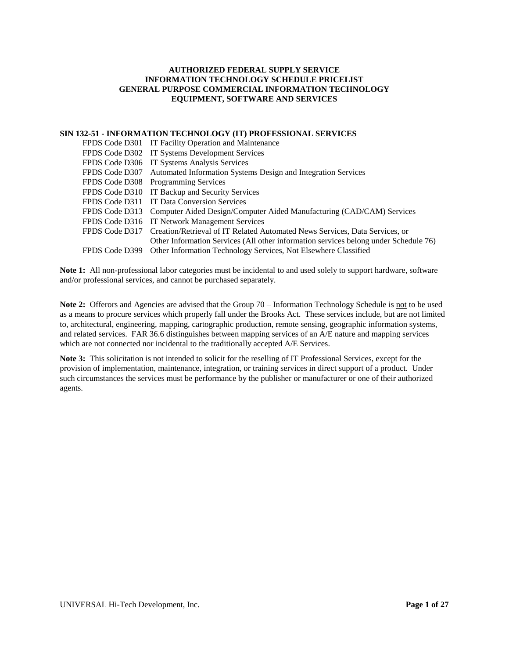# **AUTHORIZED FEDERAL SUPPLY SERVICE INFORMATION TECHNOLOGY SCHEDULE PRICELIST GENERAL PURPOSE COMMERCIAL INFORMATION TECHNOLOGY EQUIPMENT, SOFTWARE AND SERVICES**

#### **SIN 132-51 - INFORMATION TECHNOLOGY (IT) PROFESSIONAL SERVICES**

| FPDS Code D301 IT Facility Operation and Maintenance                                       |
|--------------------------------------------------------------------------------------------|
| FPDS Code D302 IT Systems Development Services                                             |
| FPDS Code D306 IT Systems Analysis Services                                                |
| FPDS Code D307 Automated Information Systems Design and Integration Services               |
| FPDS Code D308 Programming Services                                                        |
| FPDS Code D310 IT Backup and Security Services                                             |
| FPDS Code D311 IT Data Conversion Services                                                 |
| FPDS Code D313 Computer Aided Design/Computer Aided Manufacturing (CAD/CAM) Services       |
| FPDS Code D316 IT Network Management Services                                              |
| FPDS Code D317 Creation/Retrieval of IT Related Automated News Services, Data Services, or |
| Other Information Services (All other information services belong under Schedule 76)       |
| FPDS Code D399 Other Information Technology Services, Not Elsewhere Classified             |

**Note 1:** All non-professional labor categories must be incidental to and used solely to support hardware, software and/or professional services, and cannot be purchased separately.

**Note 2:** Offerors and Agencies are advised that the Group 70 – Information Technology Schedule is not to be used as a means to procure services which properly fall under the Brooks Act. These services include, but are not limited to, architectural, engineering, mapping, cartographic production, remote sensing, geographic information systems, and related services. FAR 36.6 distinguishes between mapping services of an A/E nature and mapping services which are not connected nor incidental to the traditionally accepted A/E Services.

**Note 3:** This solicitation is not intended to solicit for the reselling of IT Professional Services, except for the provision of implementation, maintenance, integration, or training services in direct support of a product. Under such circumstances the services must be performance by the publisher or manufacturer or one of their authorized agents.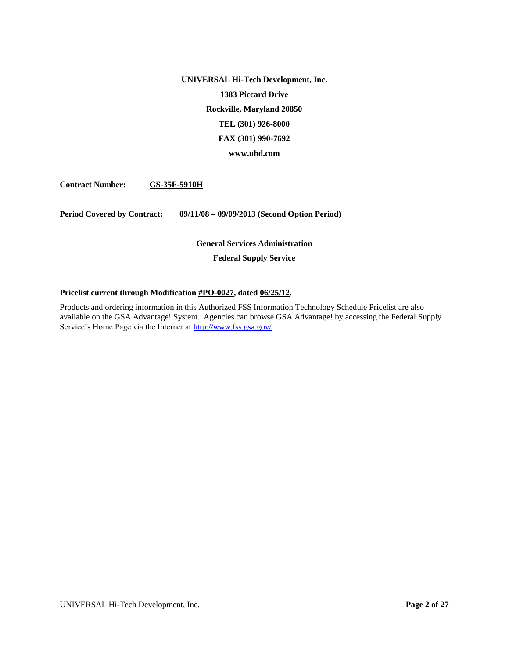**UNIVERSAL Hi-Tech Development, Inc. 1383 Piccard Drive Rockville, Maryland 20850 TEL (301) 926-8000 FAX (301) 990-7692**

**www.uhd.com**

**Contract Number: GS-35F-5910H** 

**Period Covered by Contract: 09/11/08 – 09/09/2013 (Second Option Period)**

# **General Services Administration Federal Supply Service**

# **Pricelist current through Modification #PO-0027, dated 06/25/12.**

Products and ordering information in this Authorized FSS Information Technology Schedule Pricelist are also available on the GSA Advantage! System. Agencies can browse GSA Advantage! by accessing the Federal Supply Service's Home Page via the Internet a[t http://www.fss.gsa.gov/](http://www.fss.gsa.gov/)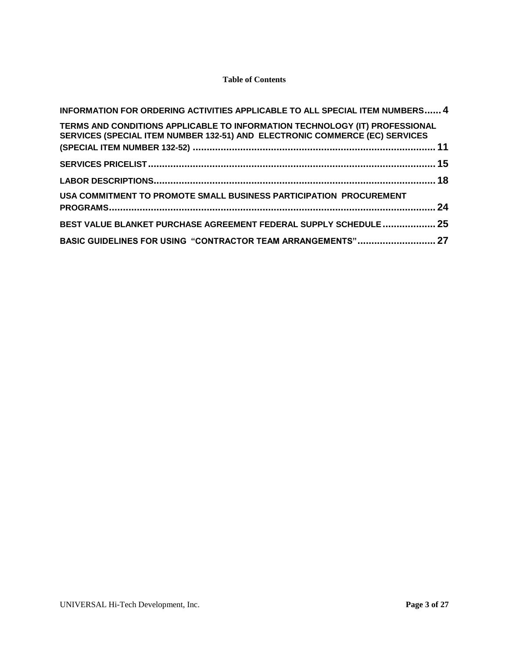# **Table of Contents**

| INFORMATION FOR ORDERING ACTIVITIES APPLICABLE TO ALL SPECIAL ITEM NUMBERS 4                                                                               |  |
|------------------------------------------------------------------------------------------------------------------------------------------------------------|--|
| TERMS AND CONDITIONS APPLICABLE TO INFORMATION TECHNOLOGY (IT) PROFESSIONAL<br>SERVICES (SPECIAL ITEM NUMBER 132-51) AND ELECTRONIC COMMERCE (EC) SERVICES |  |
|                                                                                                                                                            |  |
|                                                                                                                                                            |  |
| USA COMMITMENT TO PROMOTE SMALL BUSINESS PARTICIPATION PROCUREMENT                                                                                         |  |
| BEST VALUE BLANKET PURCHASE AGREEMENT FEDERAL SUPPLY SCHEDULE  25                                                                                          |  |
| BASIC GUIDELINES FOR USING "CONTRACTOR TEAM ARRANGEMENTS" 27                                                                                               |  |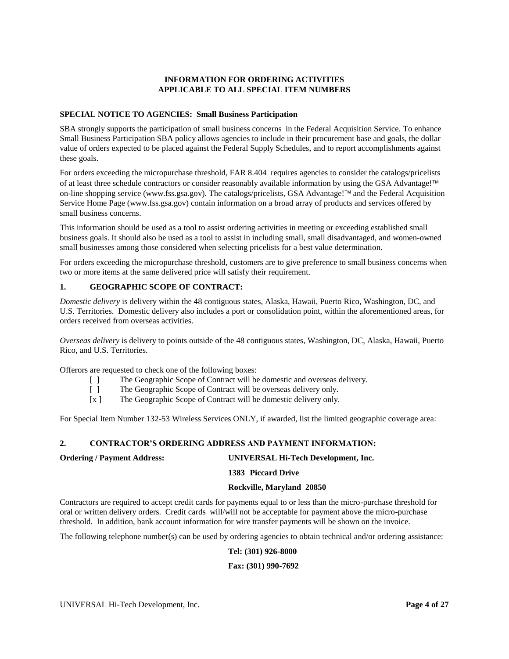# **INFORMATION FOR ORDERING ACTIVITIES APPLICABLE TO ALL SPECIAL ITEM NUMBERS**

#### <span id="page-3-0"></span>**SPECIAL NOTICE TO AGENCIES: Small Business Participation**

SBA strongly supports the participation of small business concerns in the Federal Acquisition Service. To enhance Small Business Participation SBA policy allows agencies to include in their procurement base and goals, the dollar value of orders expected to be placed against the Federal Supply Schedules, and to report accomplishments against these goals.

For orders exceeding the micropurchase threshold, FAR 8.404 requires agencies to consider the catalogs/pricelists of at least three schedule contractors or consider reasonably available information by using the GSA Advantage!™ on-line shopping service (www.fss.gsa.gov). The catalogs/pricelists, GSA Advantage!<sup> $TM$ </sup> and the Federal Acquisition Service Home Page (www.fss.gsa.gov) contain information on a broad array of products and services offered by small business concerns.

This information should be used as a tool to assist ordering activities in meeting or exceeding established small business goals. It should also be used as a tool to assist in including small, small disadvantaged, and women-owned small businesses among those considered when selecting pricelists for a best value determination.

For orders exceeding the micropurchase threshold, customers are to give preference to small business concerns when two or more items at the same delivered price will satisfy their requirement.

# **1. GEOGRAPHIC SCOPE OF CONTRACT:**

*Domestic delivery* is delivery within the 48 contiguous states, Alaska, Hawaii, Puerto Rico, Washington, DC, and U.S. Territories. Domestic delivery also includes a port or consolidation point, within the aforementioned areas, for orders received from overseas activities.

*Overseas delivery* is delivery to points outside of the 48 contiguous states, Washington, DC, Alaska, Hawaii, Puerto Rico, and U.S. Territories.

Offerors are requested to check one of the following boxes:

- [ ] The Geographic Scope of Contract will be domestic and overseas delivery.
- [ ] The Geographic Scope of Contract will be overseas delivery only.
- [x ] The Geographic Scope of Contract will be domestic delivery only.

For Special Item Number 132-53 Wireless Services ONLY, if awarded, list the limited geographic coverage area:

# **2. CONTRACTOR'S ORDERING ADDRESS AND PAYMENT INFORMATION:**

# **Ordering / Payment Address: UNIVERSAL Hi-Tech Development, Inc.**

# **1383 Piccard Drive**

#### **Rockville, Maryland 20850**

Contractors are required to accept credit cards for payments equal to or less than the micro-purchase threshold for oral or written delivery orders. Credit cards will/will not be acceptable for payment above the micro-purchase threshold. In addition, bank account information for wire transfer payments will be shown on the invoice.

The following telephone number(s) can be used by ordering agencies to obtain technical and/or ordering assistance:

**Tel: (301) 926-8000**

#### **Fax: (301) 990-7692**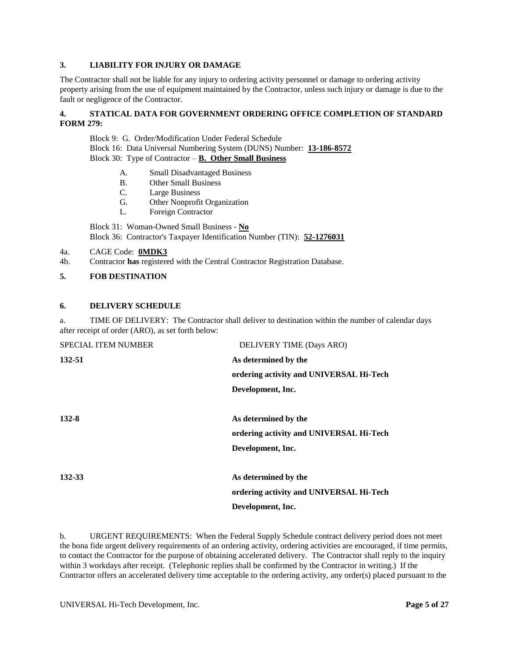#### **3. LIABILITY FOR INJURY OR DAMAGE**

The Contractor shall not be liable for any injury to ordering activity personnel or damage to ordering activity property arising from the use of equipment maintained by the Contractor, unless such injury or damage is due to the fault or negligence of the Contractor.

# **4. STATICAL DATA FOR GOVERNMENT ORDERING OFFICE COMPLETION OF STANDARD FORM 279:**

Block 9: G. Order/Modification Under Federal Schedule Block 16: Data Universal Numbering System (DUNS) Number: **13-186-8572** Block 30: Type of Contractor – **B. Other Small Business**

- A. Small Disadvantaged Business
- B. Other Small Business
- C. Large Business
- G. Other Nonprofit Organization
- L. Foreign Contractor

Block 31: Woman-Owned Small Business - **No** Block 36: Contractor's Taxpayer Identification Number (TIN): **52-1276031**

- 4a. CAGE Code: **0MDK3**
- 4b. Contractor **has** registered with the Central Contractor Registration Database.
- **5. FOB DESTINATION**

#### **6. DELIVERY SCHEDULE**

a. TIME OF DELIVERY: The Contractor shall deliver to destination within the number of calendar days after receipt of order (ARO), as set forth below:

| <b>SPECIAL ITEM NUMBER</b> | DELIVERY TIME (Days ARO)                |
|----------------------------|-----------------------------------------|
| 132-51                     | As determined by the                    |
|                            | ordering activity and UNIVERSAL Hi-Tech |
|                            | Development, Inc.                       |
| 132-8                      | As determined by the                    |
|                            | ordering activity and UNIVERSAL Hi-Tech |
|                            | Development, Inc.                       |
| 132-33                     | As determined by the                    |
|                            | ordering activity and UNIVERSAL Hi-Tech |
|                            | Development, Inc.                       |

b. URGENT REQUIREMENTS: When the Federal Supply Schedule contract delivery period does not meet the bona fide urgent delivery requirements of an ordering activity, ordering activities are encouraged, if time permits, to contact the Contractor for the purpose of obtaining accelerated delivery. The Contractor shall reply to the inquiry within 3 workdays after receipt. (Telephonic replies shall be confirmed by the Contractor in writing.) If the Contractor offers an accelerated delivery time acceptable to the ordering activity, any order(s) placed pursuant to the

UNIVERSAL Hi-Tech Development, Inc. **Page 5 of 27**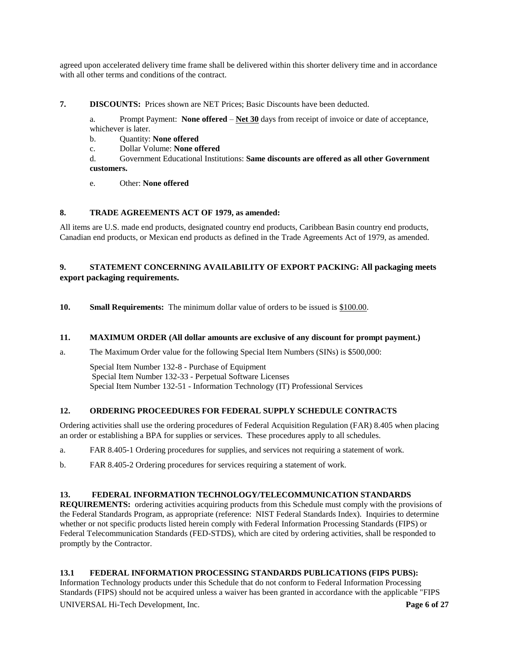agreed upon accelerated delivery time frame shall be delivered within this shorter delivery time and in accordance with all other terms and conditions of the contract.

**7. DISCOUNTS:** Prices shown are NET Prices; Basic Discounts have been deducted.

a. Prompt Payment: **None offered** – **Net 30** days from receipt of invoice or date of acceptance, whichever is later.

- b. Quantity: **None offered**
- c. Dollar Volume: **None offered**

d. Government Educational Institutions: **Same discounts are offered as all other Government customers.**

e. Other: **None offered**

# **8. TRADE AGREEMENTS ACT OF 1979, as amended:**

All items are U.S. made end products, designated country end products, Caribbean Basin country end products, Canadian end products, or Mexican end products as defined in the Trade Agreements Act of 1979, as amended.

# **9. STATEMENT CONCERNING AVAILABILITY OF EXPORT PACKING: All packaging meets export packaging requirements.**

**10. Small Requirements:** The minimum dollar value of orders to be issued is \$100.00.

#### **11. MAXIMUM ORDER (All dollar amounts are exclusive of any discount for prompt payment.)**

a. The Maximum Order value for the following Special Item Numbers (SINs) is \$500,000:

Special Item Number 132-8 - Purchase of Equipment Special Item Number 132-33 - Perpetual Software Licenses Special Item Number 132-51 - Information Technology (IT) Professional Services

# **12. ORDERING PROCEEDURES FOR FEDERAL SUPPLY SCHEDULE CONTRACTS**

Ordering activities shall use the ordering procedures of Federal Acquisition Regulation (FAR) 8.405 when placing an order or establishing a BPA for supplies or services. These procedures apply to all schedules.

- a. FAR 8.405-1 Ordering procedures for supplies, and services not requiring a statement of work.
- b. FAR 8.405-2 Ordering procedures for services requiring a statement of work.

# **13. FEDERAL INFORMATION TECHNOLOGY/TELECOMMUNICATION STANDARDS**

**REQUIREMENTS:** ordering activities acquiring products from this Schedule must comply with the provisions of the Federal Standards Program, as appropriate (reference: NIST Federal Standards Index). Inquiries to determine whether or not specific products listed herein comply with Federal Information Processing Standards (FIPS) or Federal Telecommunication Standards (FED-STDS), which are cited by ordering activities, shall be responded to promptly by the Contractor.

# **13.1 FEDERAL INFORMATION PROCESSING STANDARDS PUBLICATIONS (FIPS PUBS):**

UNIVERSAL Hi-Tech Development, Inc. **Page 6 of 27** Information Technology products under this Schedule that do not conform to Federal Information Processing Standards (FIPS) should not be acquired unless a waiver has been granted in accordance with the applicable "FIPS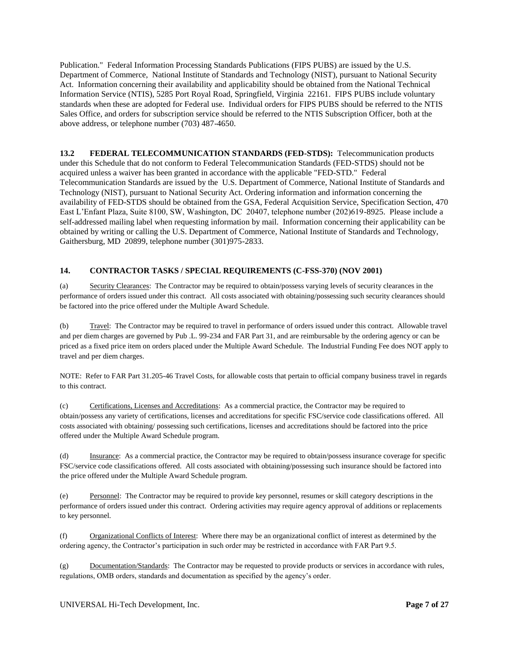Publication." Federal Information Processing Standards Publications (FIPS PUBS) are issued by the U.S. Department of Commerce, National Institute of Standards and Technology (NIST), pursuant to National Security Act. Information concerning their availability and applicability should be obtained from the National Technical Information Service (NTIS), 5285 Port Royal Road, Springfield, Virginia 22161. FIPS PUBS include voluntary standards when these are adopted for Federal use. Individual orders for FIPS PUBS should be referred to the NTIS Sales Office, and orders for subscription service should be referred to the NTIS Subscription Officer, both at the above address, or telephone number (703) 487-4650.

**13.2 FEDERAL TELECOMMUNICATION STANDARDS (FED-STDS):** Telecommunication products under this Schedule that do not conform to Federal Telecommunication Standards (FED-STDS) should not be acquired unless a waiver has been granted in accordance with the applicable "FED-STD." Federal Telecommunication Standards are issued by the U.S. Department of Commerce, National Institute of Standards and Technology (NIST), pursuant to National Security Act. Ordering information and information concerning the availability of FED-STDS should be obtained from the GSA, Federal Acquisition Service, Specification Section, 470 East L'Enfant Plaza, Suite 8100, SW, Washington, DC 20407, telephone number (202)619-8925. Please include a self-addressed mailing label when requesting information by mail. Information concerning their applicability can be obtained by writing or calling the U.S. Department of Commerce, National Institute of Standards and Technology, Gaithersburg, MD 20899, telephone number (301)975-2833.

# **14. CONTRACTOR TASKS / SPECIAL REQUIREMENTS (C-FSS-370) (NOV 2001)**

(a) Security Clearances: The Contractor may be required to obtain/possess varying levels of security clearances in the performance of orders issued under this contract. All costs associated with obtaining/possessing such security clearances should be factored into the price offered under the Multiple Award Schedule.

(b) Travel: The Contractor may be required to travel in performance of orders issued under this contract. Allowable travel and per diem charges are governed by Pub .L. 99-234 and FAR Part 31, and are reimbursable by the ordering agency or can be priced as a fixed price item on orders placed under the Multiple Award Schedule. The Industrial Funding Fee does NOT apply to travel and per diem charges.

NOTE: Refer to FAR Part 31.205-46 Travel Costs, for allowable costs that pertain to official company business travel in regards to this contract.

(c) Certifications, Licenses and Accreditations: As a commercial practice, the Contractor may be required to obtain/possess any variety of certifications, licenses and accreditations for specific FSC/service code classifications offered. All costs associated with obtaining/ possessing such certifications, licenses and accreditations should be factored into the price offered under the Multiple Award Schedule program.

(d) Insurance: As a commercial practice, the Contractor may be required to obtain/possess insurance coverage for specific FSC/service code classifications offered. All costs associated with obtaining/possessing such insurance should be factored into the price offered under the Multiple Award Schedule program.

(e) Personnel: The Contractor may be required to provide key personnel, resumes or skill category descriptions in the performance of orders issued under this contract. Ordering activities may require agency approval of additions or replacements to key personnel.

(f) Organizational Conflicts of Interest: Where there may be an organizational conflict of interest as determined by the ordering agency, the Contractor's participation in such order may be restricted in accordance with FAR Part 9.5.

(g) Documentation/Standards: The Contractor may be requested to provide products or services in accordance with rules, regulations, OMB orders, standards and documentation as specified by the agency's order.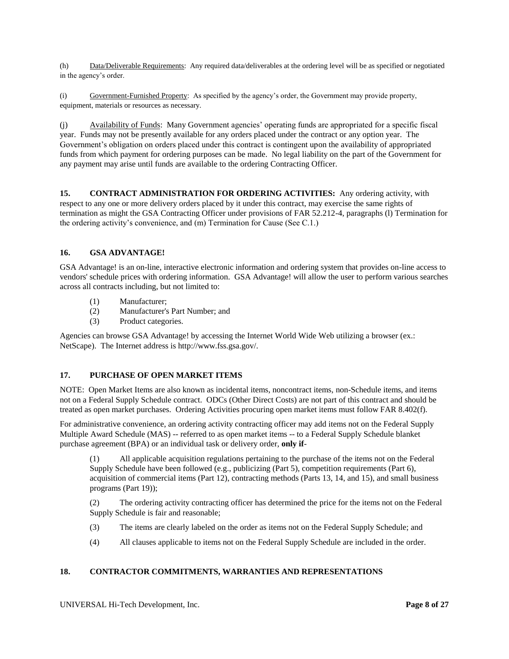(h) Data/Deliverable Requirements: Any required data/deliverables at the ordering level will be as specified or negotiated in the agency's order.

(i) Government-Furnished Property: As specified by the agency's order, the Government may provide property, equipment, materials or resources as necessary.

(j) Availability of Funds: Many Government agencies' operating funds are appropriated for a specific fiscal year. Funds may not be presently available for any orders placed under the contract or any option year. The Government's obligation on orders placed under this contract is contingent upon the availability of appropriated funds from which payment for ordering purposes can be made. No legal liability on the part of the Government for any payment may arise until funds are available to the ordering Contracting Officer.

**15. CONTRACT ADMINISTRATION FOR ORDERING ACTIVITIES:** Any ordering activity, with respect to any one or more delivery orders placed by it under this contract, may exercise the same rights of termination as might the GSA Contracting Officer under provisions of FAR 52.212-4, paragraphs (l) Termination for the ordering activity's convenience, and (m) Termination for Cause (See C.1.)

#### **16. GSA ADVANTAGE!**

GSA Advantage! is an on-line, interactive electronic information and ordering system that provides on-line access to vendors' schedule prices with ordering information. GSA Advantage! will allow the user to perform various searches across all contracts including, but not limited to:

- (1) Manufacturer;
- (2) Manufacturer's Part Number; and
- (3) Product categories.

Agencies can browse GSA Advantage! by accessing the Internet World Wide Web utilizing a browser (ex.: NetScape). The Internet address is http://www.fss.gsa.gov/.

# **17. PURCHASE OF OPEN MARKET ITEMS**

NOTE: Open Market Items are also known as incidental items, noncontract items, non-Schedule items, and items not on a Federal Supply Schedule contract. ODCs (Other Direct Costs) are not part of this contract and should be treated as open market purchases. Ordering Activities procuring open market items must follow FAR 8.402(f).

For administrative convenience, an ordering activity contracting officer may add items not on the Federal Supply Multiple Award Schedule (MAS) -- referred to as open market items -- to a Federal Supply Schedule blanket purchase agreement (BPA) or an individual task or delivery order, **only if**-

(1) All applicable acquisition regulations pertaining to the purchase of the items not on the Federal Supply Schedule have been followed (e.g., publicizing (Part 5), competition requirements (Part 6), acquisition of commercial items (Part 12), contracting methods (Parts 13, 14, and 15), and small business programs (Part 19));

(2) The ordering activity contracting officer has determined the price for the items not on the Federal Supply Schedule is fair and reasonable;

- (3) The items are clearly labeled on the order as items not on the Federal Supply Schedule; and
- (4) All clauses applicable to items not on the Federal Supply Schedule are included in the order.

# **18. CONTRACTOR COMMITMENTS, WARRANTIES AND REPRESENTATIONS**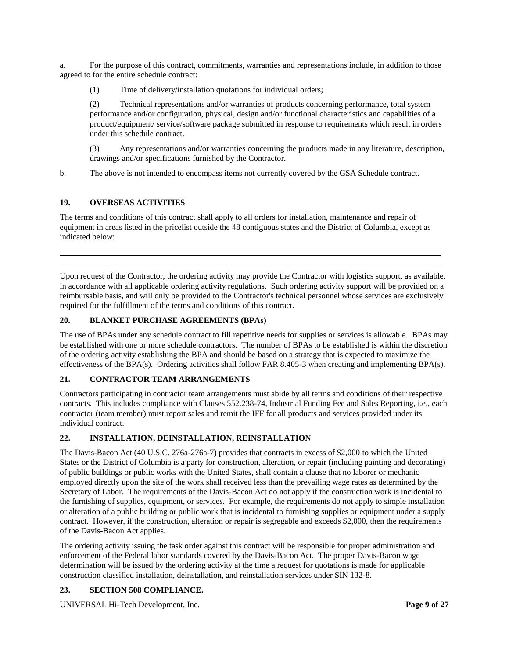a. For the purpose of this contract, commitments, warranties and representations include, in addition to those agreed to for the entire schedule contract:

(1) Time of delivery/installation quotations for individual orders;

(2) Technical representations and/or warranties of products concerning performance, total system performance and/or configuration, physical, design and/or functional characteristics and capabilities of a product/equipment/ service/software package submitted in response to requirements which result in orders under this schedule contract.

(3) Any representations and/or warranties concerning the products made in any literature, description, drawings and/or specifications furnished by the Contractor.

b. The above is not intended to encompass items not currently covered by the GSA Schedule contract.

#### **19. OVERSEAS ACTIVITIES**

The terms and conditions of this contract shall apply to all orders for installation, maintenance and repair of equipment in areas listed in the pricelist outside the 48 contiguous states and the District of Columbia, except as indicated below:

Upon request of the Contractor, the ordering activity may provide the Contractor with logistics support, as available, in accordance with all applicable ordering activity regulations. Such ordering activity support will be provided on a reimbursable basis, and will only be provided to the Contractor's technical personnel whose services are exclusively required for the fulfillment of the terms and conditions of this contract.

# **20. BLANKET PURCHASE AGREEMENTS (BPAs)**

The use of BPAs under any schedule contract to fill repetitive needs for supplies or services is allowable. BPAs may be established with one or more schedule contractors. The number of BPAs to be established is within the discretion of the ordering activity establishing the BPA and should be based on a strategy that is expected to maximize the effectiveness of the BPA(s). Ordering activities shall follow FAR 8.405-3 when creating and implementing BPA(s).

#### **21. CONTRACTOR TEAM ARRANGEMENTS**

Contractors participating in contractor team arrangements must abide by all terms and conditions of their respective contracts. This includes compliance with Clauses 552.238-74, Industrial Funding Fee and Sales Reporting, i.e., each contractor (team member) must report sales and remit the IFF for all products and services provided under its individual contract.

# **22. INSTALLATION, DEINSTALLATION, REINSTALLATION**

The Davis-Bacon Act (40 U.S.C. 276a-276a-7) provides that contracts in excess of \$2,000 to which the United States or the District of Columbia is a party for construction, alteration, or repair (including painting and decorating) of public buildings or public works with the United States, shall contain a clause that no laborer or mechanic employed directly upon the site of the work shall received less than the prevailing wage rates as determined by the Secretary of Labor. The requirements of the Davis-Bacon Act do not apply if the construction work is incidental to the furnishing of supplies, equipment, or services. For example, the requirements do not apply to simple installation or alteration of a public building or public work that is incidental to furnishing supplies or equipment under a supply contract. However, if the construction, alteration or repair is segregable and exceeds \$2,000, then the requirements of the Davis-Bacon Act applies.

The ordering activity issuing the task order against this contract will be responsible for proper administration and enforcement of the Federal labor standards covered by the Davis-Bacon Act. The proper Davis-Bacon wage determination will be issued by the ordering activity at the time a request for quotations is made for applicable construction classified installation, deinstallation, and reinstallation services under SIN 132-8.

#### **23. SECTION 508 COMPLIANCE.**

UNIVERSAL Hi-Tech Development, Inc. **Page 9 of 27**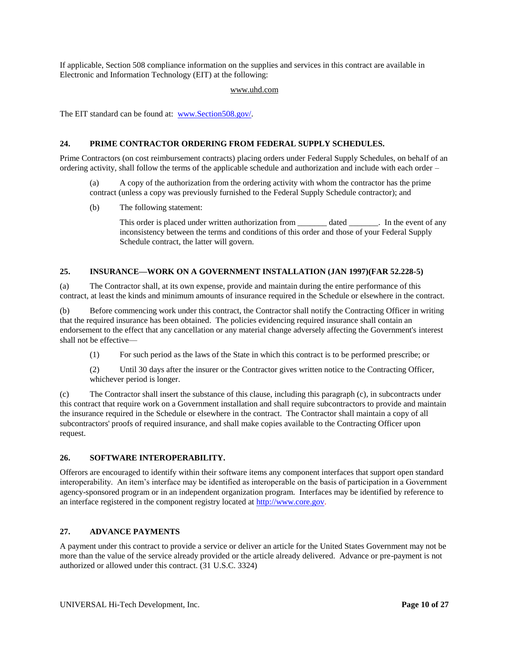If applicable, Section 508 compliance information on the supplies and services in this contract are available in Electronic and Information Technology (EIT) at the following:

#### www.uhd.com

The EIT standard can be found at: [www.Section508.gov/.](http://www.section508.gov/)

#### **24. PRIME CONTRACTOR ORDERING FROM FEDERAL SUPPLY SCHEDULES.**

Prime Contractors (on cost reimbursement contracts) placing orders under Federal Supply Schedules, on behalf of an ordering activity, shall follow the terms of the applicable schedule and authorization and include with each order –

(a) A copy of the authorization from the ordering activity with whom the contractor has the prime contract (unless a copy was previously furnished to the Federal Supply Schedule contractor); and

(b) The following statement:

This order is placed under written authorization from \_\_\_\_\_\_\_\_\_\_ dated \_\_\_\_\_\_\_\_. In the event of any inconsistency between the terms and conditions of this order and those of your Federal Supply Schedule contract, the latter will govern.

#### **25. INSURANCE—WORK ON A GOVERNMENT INSTALLATION (JAN 1997)(FAR 52.228-5)**

(a) The Contractor shall, at its own expense, provide and maintain during the entire performance of this contract, at least the kinds and minimum amounts of insurance required in the Schedule or elsewhere in the contract.

(b) Before commencing work under this contract, the Contractor shall notify the Contracting Officer in writing that the required insurance has been obtained. The policies evidencing required insurance shall contain an endorsement to the effect that any cancellation or any material change adversely affecting the Government's interest shall not be effective—

(1) For such period as the laws of the State in which this contract is to be performed prescribe; or

(2) Until 30 days after the insurer or the Contractor gives written notice to the Contracting Officer, whichever period is longer.

(c) The Contractor shall insert the substance of this clause, including this paragraph (c), in subcontracts under this contract that require work on a Government installation and shall require subcontractors to provide and maintain the insurance required in the Schedule or elsewhere in the contract. The Contractor shall maintain a copy of all subcontractors' proofs of required insurance, and shall make copies available to the Contracting Officer upon request.

# **26. SOFTWARE INTEROPERABILITY.**

Offerors are encouraged to identify within their software items any component interfaces that support open standard interoperability. An item's interface may be identified as interoperable on the basis of participation in a Government agency-sponsored program or in an independent organization program. Interfaces may be identified by reference to an interface registered in the component registry located at [http://www.core.gov.](http://www.core.gov/)

#### **27. ADVANCE PAYMENTS**

A payment under this contract to provide a service or deliver an article for the United States Government may not be more than the value of the service already provided or the article already delivered. Advance or pre-payment is not authorized or allowed under this contract. (31 U.S.C. 3324)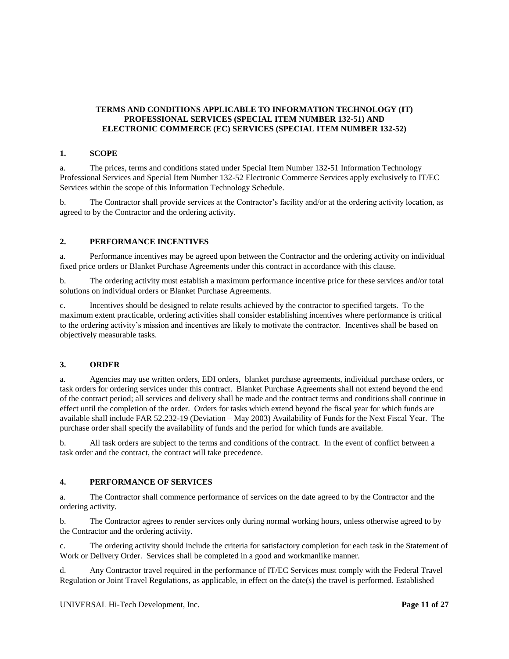# <span id="page-10-0"></span>**TERMS AND CONDITIONS APPLICABLE TO INFORMATION TECHNOLOGY (IT) PROFESSIONAL SERVICES (SPECIAL ITEM NUMBER 132-51) AND ELECTRONIC COMMERCE (EC) SERVICES (SPECIAL ITEM NUMBER 132-52)**

#### **1. SCOPE**

a. The prices, terms and conditions stated under Special Item Number 132-51 Information Technology Professional Services and Special Item Number 132-52 Electronic Commerce Services apply exclusively to IT/EC Services within the scope of this Information Technology Schedule.

b. The Contractor shall provide services at the Contractor's facility and/or at the ordering activity location, as agreed to by the Contractor and the ordering activity.

# **2. PERFORMANCE INCENTIVES**

a. Performance incentives may be agreed upon between the Contractor and the ordering activity on individual fixed price orders or Blanket Purchase Agreements under this contract in accordance with this clause.

b. The ordering activity must establish a maximum performance incentive price for these services and/or total solutions on individual orders or Blanket Purchase Agreements.

c. Incentives should be designed to relate results achieved by the contractor to specified targets. To the maximum extent practicable, ordering activities shall consider establishing incentives where performance is critical to the ordering activity's mission and incentives are likely to motivate the contractor. Incentives shall be based on objectively measurable tasks.

#### **3. ORDER**

a. Agencies may use written orders, EDI orders, blanket purchase agreements, individual purchase orders, or task orders for ordering services under this contract. Blanket Purchase Agreements shall not extend beyond the end of the contract period; all services and delivery shall be made and the contract terms and conditions shall continue in effect until the completion of the order. Orders for tasks which extend beyond the fiscal year for which funds are available shall include FAR 52.232-19 (Deviation – May 2003) Availability of Funds for the Next Fiscal Year. The purchase order shall specify the availability of funds and the period for which funds are available.

b. All task orders are subject to the terms and conditions of the contract. In the event of conflict between a task order and the contract, the contract will take precedence.

#### **4. PERFORMANCE OF SERVICES**

a. The Contractor shall commence performance of services on the date agreed to by the Contractor and the ordering activity.

b. The Contractor agrees to render services only during normal working hours, unless otherwise agreed to by the Contractor and the ordering activity.

c. The ordering activity should include the criteria for satisfactory completion for each task in the Statement of Work or Delivery Order. Services shall be completed in a good and workmanlike manner.

d. Any Contractor travel required in the performance of IT/EC Services must comply with the Federal Travel Regulation or Joint Travel Regulations, as applicable, in effect on the date(s) the travel is performed. Established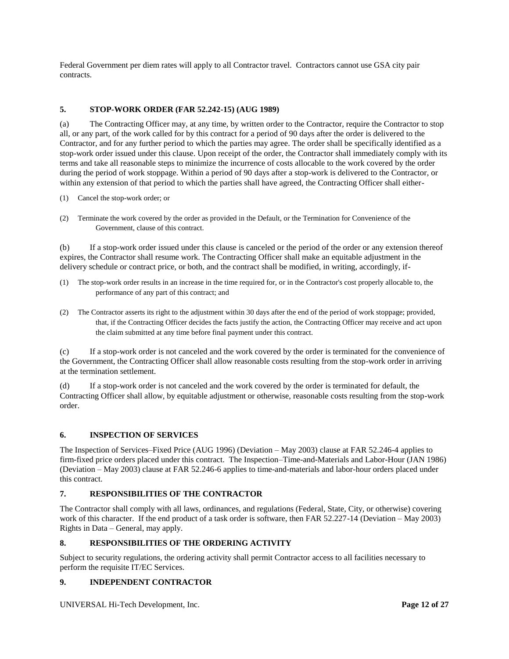Federal Government per diem rates will apply to all Contractor travel. Contractors cannot use GSA city pair contracts.

# **5. STOP-WORK ORDER (FAR 52.242-15) (AUG 1989)**

(a) The Contracting Officer may, at any time, by written order to the Contractor, require the Contractor to stop all, or any part, of the work called for by this contract for a period of 90 days after the order is delivered to the Contractor, and for any further period to which the parties may agree. The order shall be specifically identified as a stop-work order issued under this clause. Upon receipt of the order, the Contractor shall immediately comply with its terms and take all reasonable steps to minimize the incurrence of costs allocable to the work covered by the order during the period of work stoppage. Within a period of 90 days after a stop-work is delivered to the Contractor, or within any extension of that period to which the parties shall have agreed, the Contracting Officer shall either-

- (1) Cancel the stop-work order; or
- (2) Terminate the work covered by the order as provided in the Default, or the Termination for Convenience of the Government, clause of this contract.

(b) If a stop-work order issued under this clause is canceled or the period of the order or any extension thereof expires, the Contractor shall resume work. The Contracting Officer shall make an equitable adjustment in the delivery schedule or contract price, or both, and the contract shall be modified, in writing, accordingly, if-

- (1) The stop-work order results in an increase in the time required for, or in the Contractor's cost properly allocable to, the performance of any part of this contract; and
- (2) The Contractor asserts its right to the adjustment within 30 days after the end of the period of work stoppage; provided, that, if the Contracting Officer decides the facts justify the action, the Contracting Officer may receive and act upon the claim submitted at any time before final payment under this contract.

(c) If a stop-work order is not canceled and the work covered by the order is terminated for the convenience of the Government, the Contracting Officer shall allow reasonable costs resulting from the stop-work order in arriving at the termination settlement.

(d) If a stop-work order is not canceled and the work covered by the order is terminated for default, the Contracting Officer shall allow, by equitable adjustment or otherwise, reasonable costs resulting from the stop-work order.

# **6. INSPECTION OF SERVICES**

The Inspection of Services–Fixed Price (AUG 1996) (Deviation – May 2003) clause at FAR 52.246-4 applies to firm-fixed price orders placed under this contract. The Inspection–Time-and-Materials and Labor-Hour (JAN 1986) (Deviation – May 2003) clause at FAR 52.246-6 applies to time-and-materials and labor-hour orders placed under this contract.

# **7. RESPONSIBILITIES OF THE CONTRACTOR**

The Contractor shall comply with all laws, ordinances, and regulations (Federal, State, City, or otherwise) covering work of this character. If the end product of a task order is software, then FAR 52.227-14 (Deviation – May 2003) Rights in Data – General, may apply.

# **8. RESPONSIBILITIES OF THE ORDERING ACTIVITY**

Subject to security regulations, the ordering activity shall permit Contractor access to all facilities necessary to perform the requisite IT/EC Services.

# **9. INDEPENDENT CONTRACTOR**

UNIVERSAL Hi-Tech Development, Inc. **Page 12 of 27**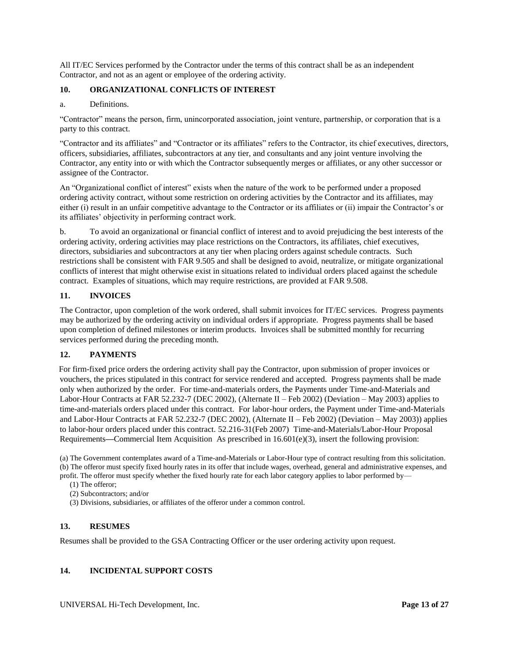All IT/EC Services performed by the Contractor under the terms of this contract shall be as an independent Contractor, and not as an agent or employee of the ordering activity.

# **10. ORGANIZATIONAL CONFLICTS OF INTEREST**

#### a. Definitions.

"Contractor" means the person, firm, unincorporated association, joint venture, partnership, or corporation that is a party to this contract.

"Contractor and its affiliates" and "Contractor or its affiliates" refers to the Contractor, its chief executives, directors, officers, subsidiaries, affiliates, subcontractors at any tier, and consultants and any joint venture involving the Contractor, any entity into or with which the Contractor subsequently merges or affiliates, or any other successor or assignee of the Contractor.

An "Organizational conflict of interest" exists when the nature of the work to be performed under a proposed ordering activity contract, without some restriction on ordering activities by the Contractor and its affiliates, may either (i) result in an unfair competitive advantage to the Contractor or its affiliates or (ii) impair the Contractor's or its affiliates' objectivity in performing contract work.

b. To avoid an organizational or financial conflict of interest and to avoid prejudicing the best interests of the ordering activity, ordering activities may place restrictions on the Contractors, its affiliates, chief executives, directors, subsidiaries and subcontractors at any tier when placing orders against schedule contracts. Such restrictions shall be consistent with FAR 9.505 and shall be designed to avoid, neutralize, or mitigate organizational conflicts of interest that might otherwise exist in situations related to individual orders placed against the schedule contract. Examples of situations, which may require restrictions, are provided at FAR 9.508.

# **11. INVOICES**

The Contractor, upon completion of the work ordered, shall submit invoices for IT/EC services. Progress payments may be authorized by the ordering activity on individual orders if appropriate. Progress payments shall be based upon completion of defined milestones or interim products. Invoices shall be submitted monthly for recurring services performed during the preceding month.

# **12. PAYMENTS**

 For firm-fixed price orders the ordering activity shall pay the Contractor, upon submission of proper invoices or vouchers, the prices stipulated in this contract for service rendered and accepted. Progress payments shall be made only when authorized by the order. For time-and-materials orders, the Payments under Time-and-Materials and Labor-Hour Contracts at FAR 52.232-7 (DEC 2002), (Alternate II – Feb 2002) (Deviation – May 2003) applies to time-and-materials orders placed under this contract. For labor-hour orders, the Payment under Time-and-Materials and Labor-Hour Contracts at FAR 52.232-7 (DEC 2002), (Alternate II – Feb 2002) (Deviation – May 2003)) applies to labor-hour orders placed under this contract. 52.216-31(Feb 2007) Time-and-Materials/Labor-Hour Proposal Requirements**—**Commercial Item Acquisition. As prescribed in 16.601(e)(3), insert the following provision:

(a) The Government contemplates award of a Time-and-Materials or Labor-Hour type of contract resulting from this solicitation. (b) The offeror must specify fixed hourly rates in its offer that include wages, overhead, general and administrative expenses, and profit. The offeror must specify whether the fixed hourly rate for each labor category applies to labor performed by—

- (1) The offeror;
- (2) Subcontractors; and/or
- (3) Divisions, subsidiaries, or affiliates of the offeror under a common control.

# **13. RESUMES**

Resumes shall be provided to the GSA Contracting Officer or the user ordering activity upon request.

# **14. INCIDENTAL SUPPORT COSTS**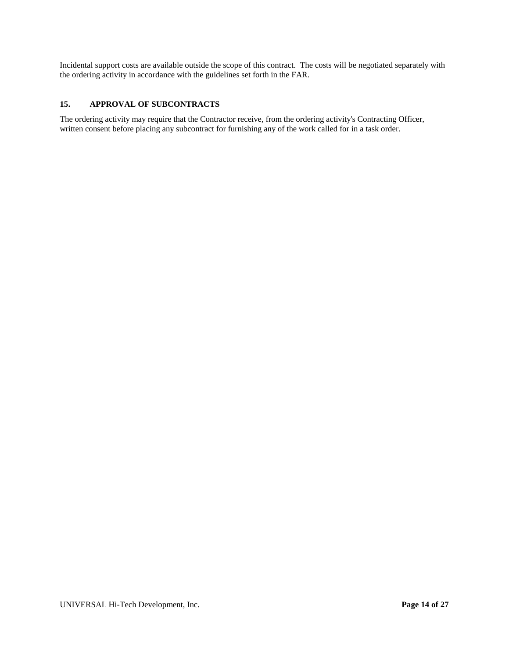Incidental support costs are available outside the scope of this contract. The costs will be negotiated separately with the ordering activity in accordance with the guidelines set forth in the FAR.

# **15. APPROVAL OF SUBCONTRACTS**

The ordering activity may require that the Contractor receive, from the ordering activity's Contracting Officer, written consent before placing any subcontract for furnishing any of the work called for in a task order.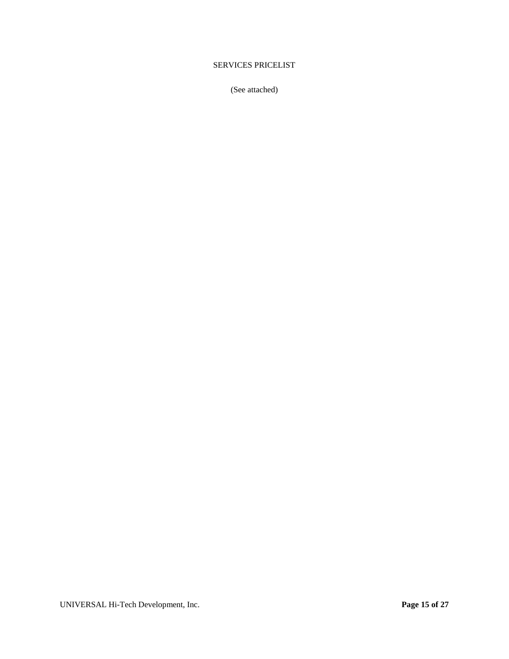# <span id="page-14-0"></span>SERVICES PRICELIST

(See attached)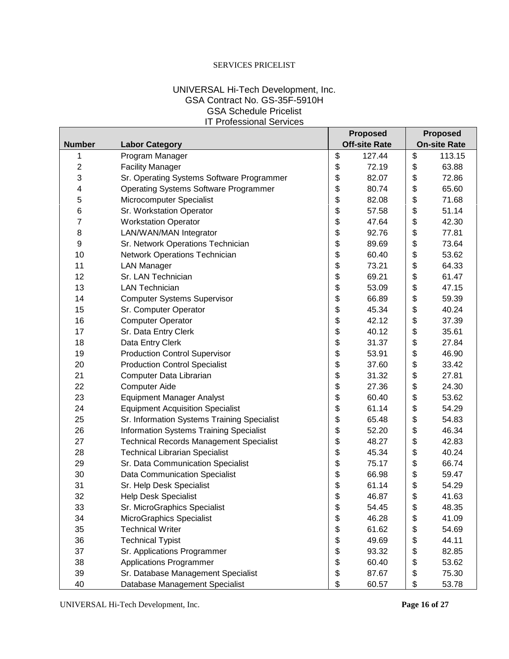# SERVICES PRICELIST

# UNIVERSAL Hi-Tech Development, Inc. GSA Contract No. GS-35F-5910H GSA Schedule Pricelist IT Professional Services

|                  |                                                |             |                                             | <b>Proposed</b> | <b>Proposed</b> |        |
|------------------|------------------------------------------------|-------------|---------------------------------------------|-----------------|-----------------|--------|
| <b>Number</b>    | <b>Labor Category</b>                          |             | <b>On-site Rate</b><br><b>Off-site Rate</b> |                 |                 |        |
| 1                | Program Manager                                |             | \$                                          | 127.44          | \$              | 113.15 |
| $\overline{2}$   | <b>Facility Manager</b>                        |             | \$                                          | 72.19           | \$              | 63.88  |
| 3                | Sr. Operating Systems Software Programmer      |             | \$                                          | 82.07           | \$              | 72.86  |
| 4                | <b>Operating Systems Software Programmer</b>   |             | \$                                          | 80.74           | \$              | 65.60  |
| $\mathbf 5$      | Microcomputer Specialist                       |             | \$                                          | 82.08           | \$              | 71.68  |
| 6                | Sr. Workstation Operator                       |             | \$                                          | 57.58           | \$              | 51.14  |
| 7                | <b>Workstation Operator</b>                    |             | \$                                          | 47.64           | \$              | 42.30  |
| 8                | LAN/WAN/MAN Integrator                         |             | \$                                          | 92.76           | \$              | 77.81  |
| $\boldsymbol{9}$ | Sr. Network Operations Technician              |             | \$                                          | 89.69           | \$              | 73.64  |
| 10               | Network Operations Technician                  |             | \$                                          | 60.40           | \$              | 53.62  |
| 11               | <b>LAN Manager</b>                             |             | \$                                          | 73.21           | \$              | 64.33  |
| 12               | Sr. LAN Technician                             |             | \$                                          | 69.21           | \$              | 61.47  |
| 13               | <b>LAN Technician</b>                          |             | \$                                          | 53.09           | \$              | 47.15  |
| 14               | <b>Computer Systems Supervisor</b>             |             | \$                                          | 66.89           | \$              | 59.39  |
| 15               | Sr. Computer Operator                          |             | \$                                          | 45.34           | \$              | 40.24  |
| 16               | <b>Computer Operator</b>                       |             | \$                                          | 42.12           | \$              | 37.39  |
| 17               | Sr. Data Entry Clerk                           |             | \$                                          | 40.12           | \$              | 35.61  |
| 18               | Data Entry Clerk                               |             | \$                                          | 31.37           | \$              | 27.84  |
| 19               | <b>Production Control Supervisor</b>           |             | \$                                          | 53.91           | \$              | 46.90  |
| 20               | <b>Production Control Specialist</b>           |             | \$                                          | 37.60           | \$              | 33.42  |
| 21               | \$<br>Computer Data Librarian<br>31.32         |             |                                             |                 | \$              | 27.81  |
| 22               | \$<br><b>Computer Aide</b><br>27.36            |             |                                             |                 | \$              | 24.30  |
| 23               | <b>Equipment Manager Analyst</b>               | \$<br>60.40 |                                             |                 | \$              | 53.62  |
| 24               | <b>Equipment Acquisition Specialist</b>        |             | \$                                          | 61.14           | \$              | 54.29  |
| 25               | Sr. Information Systems Training Specialist    |             | \$                                          | 65.48           | \$              | 54.83  |
| 26               | <b>Information Systems Training Specialist</b> |             | \$                                          | 52.20           | \$              | 46.34  |
| 27               | <b>Technical Records Management Specialist</b> |             | \$                                          | 48.27           | \$              | 42.83  |
| 28               | <b>Technical Librarian Specialist</b>          |             | \$                                          | 45.34           | \$              | 40.24  |
| 29               | Sr. Data Communication Specialist              |             | \$                                          | 75.17           | \$              | 66.74  |
| 30               | <b>Data Communication Specialist</b>           |             | \$                                          | 66.98           | \$              | 59.47  |
| 31               | Sr. Help Desk Specialist                       |             | \$                                          | 61.14           | \$              | 54.29  |
| 32               | <b>Help Desk Specialist</b>                    |             | \$                                          | 46.87           | \$              | 41.63  |
| 33               | Sr. MicroGraphics Specialist                   |             | \$                                          | 54.45           | \$              | 48.35  |
| 34               | MicroGraphics Specialist                       |             | \$                                          | 46.28           | \$              | 41.09  |
| 35               | <b>Technical Writer</b>                        |             | \$                                          | 61.62           | \$              | 54.69  |
| 36               | <b>Technical Typist</b>                        |             | \$                                          | 49.69           | \$              | 44.11  |
| 37               | Sr. Applications Programmer                    |             | \$                                          | 93.32           | \$              | 82.85  |
| 38               | <b>Applications Programmer</b>                 |             | \$                                          | 60.40           | \$              | 53.62  |
| 39               | Sr. Database Management Specialist             |             | \$                                          | 87.67           | \$              | 75.30  |
| 40               | Database Management Specialist                 |             | \$                                          | 60.57           | \$              | 53.78  |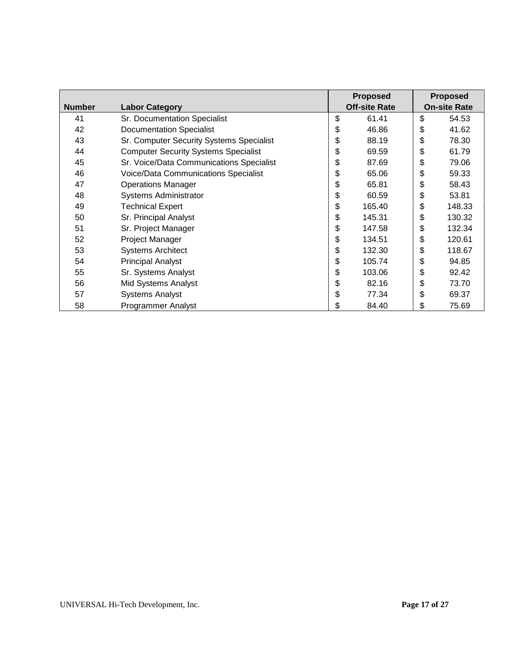|               |                                             | <b>Proposed</b>      | <b>Proposed</b>     |
|---------------|---------------------------------------------|----------------------|---------------------|
| <b>Number</b> | <b>Labor Category</b>                       | <b>Off-site Rate</b> | <b>On-site Rate</b> |
| 41            | Sr. Documentation Specialist                | \$<br>61.41          | \$<br>54.53         |
| 42            | <b>Documentation Specialist</b>             | \$<br>46.86          | \$<br>41.62         |
| 43            | Sr. Computer Security Systems Specialist    | \$<br>88.19          | \$<br>78.30         |
| 44            | <b>Computer Security Systems Specialist</b> | \$<br>69.59          | \$<br>61.79         |
| 45            | Sr. Voice/Data Communications Specialist    | \$<br>87.69          | \$<br>79.06         |
| 46            | Voice/Data Communications Specialist        | \$<br>65.06          | \$<br>59.33         |
| 47            | <b>Operations Manager</b>                   | \$<br>65.81          | \$<br>58.43         |
| 48            | <b>Systems Administrator</b>                | \$<br>60.59          | \$<br>53.81         |
| 49            | <b>Technical Expert</b>                     | \$<br>165.40         | \$<br>148.33        |
| 50            | Sr. Principal Analyst                       | \$<br>145.31         | \$<br>130.32        |
| 51            | Sr. Project Manager                         | \$<br>147.58         | \$<br>132.34        |
| 52            | Project Manager                             | \$<br>134.51         | \$<br>120.61        |
| 53            | <b>Systems Architect</b>                    | \$<br>132.30         | \$<br>118.67        |
| 54            | <b>Principal Analyst</b>                    | \$<br>105.74         | \$<br>94.85         |
| 55            | Sr. Systems Analyst                         | \$<br>103.06         | \$<br>92.42         |
| 56            | Mid Systems Analyst                         | \$<br>82.16          | \$<br>73.70         |
| 57            | <b>Systems Analyst</b>                      | \$<br>77.34          | \$<br>69.37         |
| 58            | <b>Programmer Analyst</b>                   | \$<br>84.40          | \$<br>75.69         |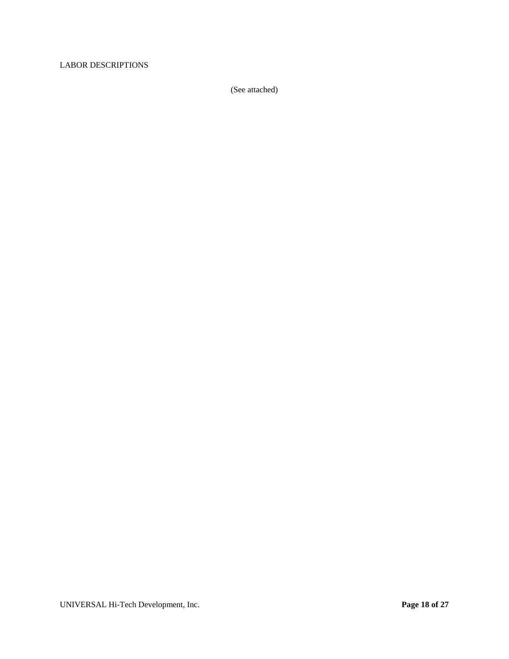# <span id="page-17-0"></span>LABOR DESCRIPTIONS

(See attached)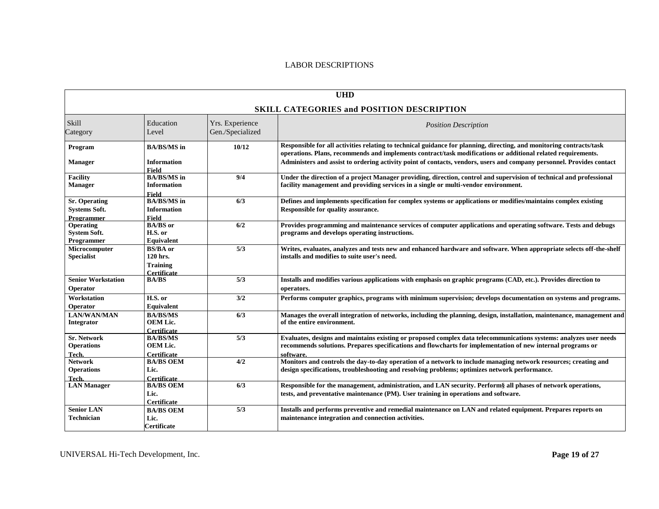# LABOR DESCRIPTIONS

| <b>UHD</b>                                                 |                                                                      |                                     |                                                                                                                                                                                                                                                |  |  |  |
|------------------------------------------------------------|----------------------------------------------------------------------|-------------------------------------|------------------------------------------------------------------------------------------------------------------------------------------------------------------------------------------------------------------------------------------------|--|--|--|
| <b>SKILL CATEGORIES and POSITION DESCRIPTION</b>           |                                                                      |                                     |                                                                                                                                                                                                                                                |  |  |  |
| Skill<br>Category                                          | Education<br>Level                                                   | Yrs. Experience<br>Gen./Specialized | <b>Position Description</b>                                                                                                                                                                                                                    |  |  |  |
| Program                                                    | <b>BA/BS/MS</b> in                                                   | 10/12                               | Responsible for all activities relating to technical guidance for planning, directing, and monitoring contracts/task<br>operations. Plans, recommends and implements contract/task modifications or additional related requirements.           |  |  |  |
| <b>Manager</b>                                             | <b>Information</b><br><b>Field</b>                                   |                                     | Administers and assist to ordering activity point of contacts, vendors, users and company personnel. Provides contact                                                                                                                          |  |  |  |
| <b>Facility</b><br><b>Manager</b>                          | <b>BA/BS/MS</b> in<br><b>Information</b><br>Field                    | 9/4                                 | Under the direction of a project Manager providing, direction, control and supervision of technical and professional<br>facility management and providing services in a single or multi-vendor environment.                                    |  |  |  |
| <b>Sr.</b> Operating<br><b>Systems Soft.</b><br>Programmer | <b>BA/BS/MS</b> in<br><b>Information</b><br><b>Field</b>             | 6/3                                 | Defines and implements specification for complex systems or applications or modifies/maintains complex existing<br>Responsible for quality assurance.                                                                                          |  |  |  |
| Operating<br><b>System Soft.</b><br>Programmer             | <b>BA/BS</b> or<br>H.S. or<br>Equivalent                             | 6/2                                 | Provides programming and maintenance services of computer applications and operating software. Tests and debugs<br>programs and develops operating instructions.                                                                               |  |  |  |
| Microcomputer<br><b>Specialist</b>                         | <b>BS/BA</b> or<br>120 hrs.<br><b>Training</b><br><b>Certificate</b> | 5/3                                 | Writes, evaluates, analyzes and tests new and enhanced hardware and software. When appropriate selects off-the-shelf<br>installs and modifies to suite user's need.                                                                            |  |  |  |
| <b>Senior Workstation</b><br>Operator                      | <b>BA/BS</b>                                                         | 5/3                                 | Installs and modifies various applications with emphasis on graphic programs (CAD, etc.). Provides direction to<br>operators.                                                                                                                  |  |  |  |
| Workstation<br>Operator                                    | H.S. or<br>Equivalent                                                | 3/2                                 | Performs computer graphics, programs with minimum supervision; develops documentation on systems and programs.                                                                                                                                 |  |  |  |
| <b>LAN/WAN/MAN</b><br>Integrator                           | <b>BA/BS/MS</b><br><b>OEM Lic.</b><br><b>Certificate</b>             | 6/3                                 | Manages the overall integration of networks, including the planning, design, installation, maintenance, management and<br>of the entire environment.                                                                                           |  |  |  |
| <b>Sr. Network</b><br><b>Operations</b><br>Tech.           | <b>BA/BS/MS</b><br><b>OEM Lic.</b><br><b>Certificate</b>             | 5/3                                 | Evaluates, designs and maintains existing or proposed complex data telecommunications systems: analyzes user needs<br>recommends solutions. Prepares specifications and flowcharts for implementation of new internal programs or<br>software. |  |  |  |
| <b>Network</b><br><b>Operations</b><br>Tech.               | <b>BA/BS OEM</b><br>Lic.<br><b>Certificate</b>                       | 4/2                                 | Monitors and controls the day-to-day operation of a network to include managing network resources; creating and<br>design specifications, troubleshooting and resolving problems; optimizes network performance.                               |  |  |  |
| <b>LAN Manager</b>                                         | <b>BA/BS OEM</b><br>Lic.<br>Certificate                              | 6/3                                 | Responsible for the management, administration, and LAN security. Perform§ all phases of network operations,<br>tests, and preventative maintenance (PM). User training in operations and software.                                            |  |  |  |
| <b>Senior LAN</b><br><b>Technician</b>                     | <b>BA/BS OEM</b><br>Lic.<br>Certificate                              | 5/3                                 | Installs and performs preventive and remedial maintenance on LAN and related equipment. Prepares reports on<br>maintenance integration and connection activities.                                                                              |  |  |  |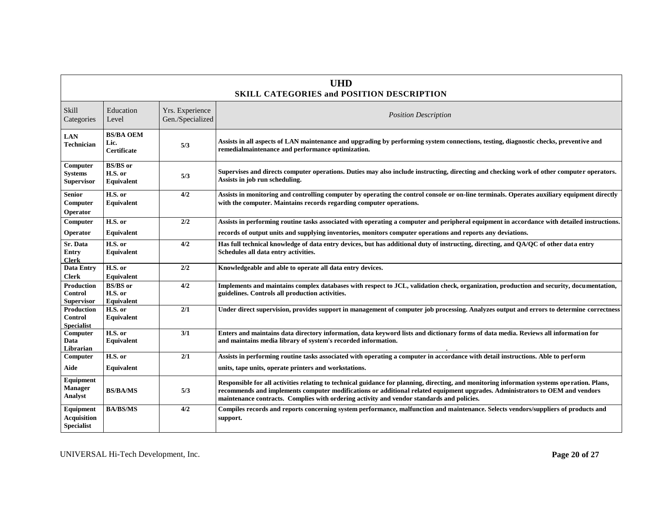| <b>UHD</b><br><b>SKILL CATEGORIES and POSITION DESCRIPTION</b> |                                                |                                     |                                                                                                                                                                                                                                                                                                                                                                          |  |  |
|----------------------------------------------------------------|------------------------------------------------|-------------------------------------|--------------------------------------------------------------------------------------------------------------------------------------------------------------------------------------------------------------------------------------------------------------------------------------------------------------------------------------------------------------------------|--|--|
| Skill<br>Categories                                            | Education<br>Level                             | Yrs. Experience<br>Gen./Specialized | <b>Position Description</b>                                                                                                                                                                                                                                                                                                                                              |  |  |
| <b>LAN</b><br><b>Technician</b>                                | <b>BS/BA OEM</b><br>Lic.<br><b>Certificate</b> | 5/3                                 | Assists in all aspects of LAN maintenance and upgrading by performing system connections, testing, diagnostic checks, preventive and<br>remedialmaintenance and performance optimization.                                                                                                                                                                                |  |  |
| Computer<br><b>Systems</b><br><b>Supervisor</b>                | <b>BS/BS</b> or<br>H.S. or<br>Equivalent       | 5/3                                 | Supervises and directs computer operations. Duties may also include instructing, directing and checking work of other computer operators.<br>Assists in job run scheduling.                                                                                                                                                                                              |  |  |
| <b>Senior</b><br>Computer<br>Operator                          | H.S. or<br>Equivalent                          | 4/2                                 | Assists in monitoring and controlling computer by operating the control console or on-line terminals. Operates auxiliary equipment directly<br>with the computer. Maintains records regarding computer operations.                                                                                                                                                       |  |  |
| Computer                                                       | H.S. or                                        | 2/2                                 | Assists in performing routine tasks associated with operating a computer and peripheral equipment in accordance with detailed instructions.                                                                                                                                                                                                                              |  |  |
| Operator                                                       | Equivalent                                     |                                     | records of output units and supplying inventories, monitors computer operations and reports any deviations.                                                                                                                                                                                                                                                              |  |  |
| Sr. Data<br><b>Entry</b><br><b>Clerk</b>                       | H.S. or<br>Equivalent                          | 4/2                                 | Has full technical knowledge of data entry devices, but has additional duty of instructing, directing, and QA/QC of other data entry<br>Schedules all data entry activities.                                                                                                                                                                                             |  |  |
| <b>Data Entry</b><br><b>Clerk</b>                              | H.S. or<br>Equivalent                          | 2/2                                 | Knowledgeable and able to operate all data entry devices.                                                                                                                                                                                                                                                                                                                |  |  |
| <b>Production</b><br><b>Control</b><br><b>Supervisor</b>       | <b>BS/BS</b> or<br>H.S. or<br>Equivalent       | 4/2                                 | Implements and maintains complex databases with respect to JCL, validation check, organization, production and security, documentation,<br>guidelines. Controls all production activities.                                                                                                                                                                               |  |  |
| Production<br><b>Control</b><br><b>Specialist</b>              | H.S. or<br>Equivalent                          | 2/1                                 | Under direct supervision, provides support in management of computer job processing. Analyzes output and errors to determine correctness                                                                                                                                                                                                                                 |  |  |
| Computer<br>Data<br>Librarian                                  | H.S. or<br>Equivalent                          | 3/1                                 | Enters and maintains data directory information, data keyword lists and dictionary forms of data media. Reviews all information for<br>and maintains media library of system's recorded information.                                                                                                                                                                     |  |  |
| Computer                                                       | H.S. or                                        | 2/1                                 | Assists in performing routine tasks associated with operating a computer in accordance with detail instructions. Able to perform                                                                                                                                                                                                                                         |  |  |
| Aide                                                           | Equivalent                                     |                                     | units, tape units, operate printers and workstations.                                                                                                                                                                                                                                                                                                                    |  |  |
| Equipment<br><b>Manager</b><br>Analyst                         | <b>BS/BA/MS</b>                                | 5/3                                 | Responsible for all activities relating to technical guidance for planning, directing, and monitoring information systems operation. Plans,<br>recommends and implements computer modifications or additional related equipment upgrades. Administrators to OEM and vendors<br>maintenance contracts. Complies with ordering activity and vendor standards and policies. |  |  |
| Equipment<br><b>Acquisition</b><br><b>Specialist</b>           | <b>BA/BS/MS</b>                                | 4/2                                 | Compiles records and reports concerning system performance, malfunction and maintenance. Selects vendors/suppliers of products and<br>support.                                                                                                                                                                                                                           |  |  |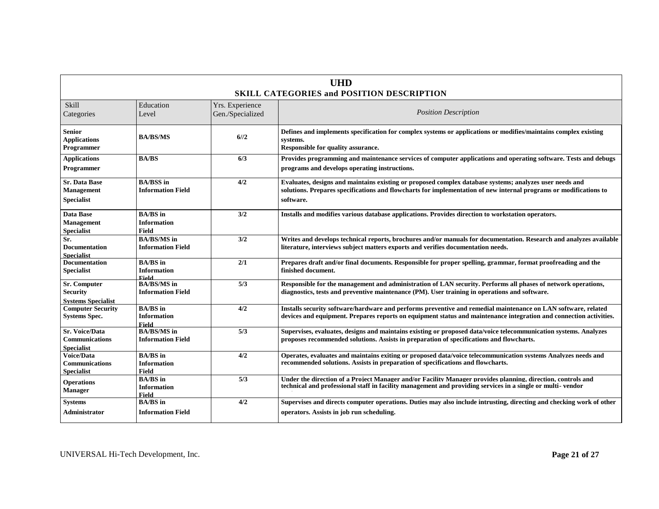| <b>UHD</b><br><b>SKILL CATEGORIES and POSITION DESCRIPTION</b>      |                                                       |                                     |                                                                                                                                                                                                                                           |  |  |
|---------------------------------------------------------------------|-------------------------------------------------------|-------------------------------------|-------------------------------------------------------------------------------------------------------------------------------------------------------------------------------------------------------------------------------------------|--|--|
| Skill<br>Categories                                                 | Education<br>Level                                    | Yrs. Experience<br>Gen./Specialized | <b>Position Description</b>                                                                                                                                                                                                               |  |  |
| <b>Senior</b><br><b>Applications</b><br>Programmer                  | <b>BA/BS/MS</b>                                       | 6/12                                | Defines and implements specification for complex systems or applications or modifies/maintains complex existing<br>systems.<br>Responsible for quality assurance.                                                                         |  |  |
| <b>Applications</b><br>Programmer                                   | <b>BA/BS</b>                                          | 6/3                                 | Provides programming and maintenance services of computer applications and operating software. Tests and debugs<br>programs and develops operating instructions.                                                                          |  |  |
| <b>Sr. Data Base</b><br>Management<br><b>Specialist</b>             | <b>BA/BSS</b> in<br><b>Information Field</b>          | 4/2                                 | Evaluates, designs and maintains existing or proposed complex database systems; analyzes user needs and<br>solutions. Prepares specifications and flowcharts for implementation of new internal programs or modifications to<br>software. |  |  |
| Data Base<br><b>Management</b><br><b>Specialist</b>                 | <b>BA/BS</b> in<br><b>Information</b><br><b>Field</b> | 3/2                                 | Installs and modifies various database applications. Provides direction to workstation operators.                                                                                                                                         |  |  |
| Sr.<br><b>Documentation</b><br><b>Specialist</b>                    | <b>BA/BS/MS</b> in<br><b>Information Field</b>        | 3/2                                 | Writes and develops technical reports, brochures and/or manuals for documentation. Research and analyzes available<br>literature, interviews subject matters exports and verifies documentation needs.                                    |  |  |
| <b>Documentation</b><br><b>Specialist</b>                           | <b>BA/BS</b> in<br><b>Information</b><br>Field        | 2/1                                 | Prepares draft and/or final documents. Responsible for proper spelling, grammar, format proofreading and the<br>finished document.                                                                                                        |  |  |
| <b>Sr. Computer</b><br><b>Security</b><br><b>Systems Specialist</b> | <b>BA/BS/MS</b> in<br><b>Information Field</b>        | 5/3                                 | Responsible for the management and administration of LAN security. Performs all phases of network operations,<br>diagnostics, tests and preventive maintenance (PM). User training in operations and software.                            |  |  |
| <b>Computer Security</b><br><b>Systems Spec.</b>                    | <b>BA/BS</b> in<br><b>Information</b><br><b>Field</b> | 4/2                                 | Installs security software/hardware and performs preventive and remedial maintenance on LAN software, related<br>devices and equipment. Prepares reports on equipment status and maintenance integration and connection activities.       |  |  |
| <b>Sr. Voice/Data</b><br>Communications<br><b>Specialist</b>        | <b>BA/BS/MS</b> in<br><b>Information Field</b>        | 5/3                                 | Supervises, evaluates, designs and maintains existing or proposed data/voice telecommunication systems. Analyzes<br>proposes recommended solutions. Assists in preparation of specifications and flowcharts.                              |  |  |
| Voice/Data<br><b>Communications</b><br><b>Specialist</b>            | <b>BA/BS</b> in<br><b>Information</b><br>Field        | 4/2                                 | Operates, evaluates and maintains exiting or proposed data/voice telecommunication systems Analyzes needs and<br>recommended solutions. Assists in preparation of specifications and flowcharts.                                          |  |  |
| <b>Operations</b><br><b>Manager</b>                                 | <b>BA/BS</b> in<br><b>Information</b><br><b>Field</b> | 5/3                                 | Under the direction of a Project Manager and/or Facility Manager provides planning, direction, controls and<br>technical and professional staff in facility management and providing services in a single or multi-vendor                 |  |  |
| <b>Systems</b><br><b>Administrator</b>                              | <b>BA/BS</b> in<br><b>Information Field</b>           | 4/2                                 | Supervises and directs computer operations. Duties may also include intrusting, directing and checking work of other<br>operators. Assists in job run scheduling.                                                                         |  |  |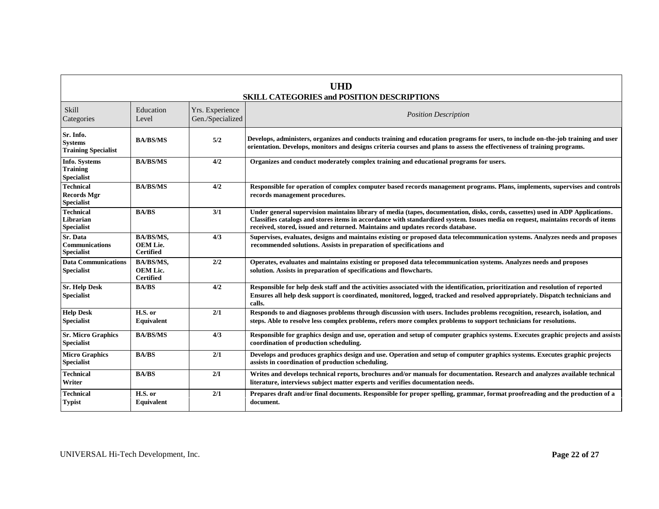| <b>UHD</b><br><b>SKILL CATEGORIES and POSITION DESCRIPTIONS</b> |                                                  |                                     |                                                                                                                                                                                                                                                                                                                                                      |  |  |
|-----------------------------------------------------------------|--------------------------------------------------|-------------------------------------|------------------------------------------------------------------------------------------------------------------------------------------------------------------------------------------------------------------------------------------------------------------------------------------------------------------------------------------------------|--|--|
| Skill<br>Categories                                             | Education<br>Level                               | Yrs. Experience<br>Gen./Specialized | <b>Position Description</b>                                                                                                                                                                                                                                                                                                                          |  |  |
| Sr. Info.<br><b>Systems</b><br><b>Training Specialist</b>       | <b>BA/BS/MS</b>                                  | 5/2                                 | Develops, administers, organizes and conducts training and education programs for users, to include on-the-job training and user<br>orientation. Develops, monitors and designs criteria courses and plans to assess the effectiveness of training programs.                                                                                         |  |  |
| Info. Systems<br><b>Training</b><br><b>Specialist</b>           | <b>BA/BS/MS</b>                                  | 4/2                                 | Organizes and conduct moderately complex training and educational programs for users.                                                                                                                                                                                                                                                                |  |  |
| <b>Technical</b><br><b>Records Mgr</b><br><b>Specialist</b>     | <b>BA/BS/MS</b>                                  | 4/2                                 | Responsible for operation of complex computer based records management programs. Plans, implements, supervises and controls<br>records management procedures.                                                                                                                                                                                        |  |  |
| <b>Technical</b><br>Librarian<br><b>Specialist</b>              | <b>BA/BS</b>                                     | 3/1                                 | Under general supervision maintains library of media (tapes, documentation, disks, cords, cassettes) used in ADP Applications.<br>Classifies catalogs and stores items in accordance with standardized system. Issues media on request, maintains records of items<br>received, stored, issued and returned. Maintains and updates records database. |  |  |
| Sr. Data<br>Communications<br><b>Specialist</b>                 | BA/BS/MS,<br><b>OEM Lie.</b><br><b>Certified</b> | 4/3                                 | Supervises, evaluates, designs and maintains existing or proposed data telecommunication systems. Analyzes needs and proposes<br>recommended solutions. Assists in preparation of specifications and                                                                                                                                                 |  |  |
| <b>Data Communications</b><br><b>Specialist</b>                 | BA/BS/MS,<br><b>OEM Lic.</b><br><b>Certified</b> | 2/2                                 | Operates, evaluates and maintains existing or proposed data telecommunication systems. Analyzes needs and proposes<br>solution. Assists in preparation of specifications and flowcharts.                                                                                                                                                             |  |  |
| <b>Sr. Help Desk</b><br><b>Specialist</b>                       | <b>BA/BS</b>                                     | 4/2                                 | Responsible for help desk staff and the activities associated with the identification, prioritization and resolution of reported<br>Ensures all help desk support is coordinated, monitored, logged, tracked and resolved appropriately. Dispatch technicians and<br>calls.                                                                          |  |  |
| <b>Help Desk</b><br><b>Specialist</b>                           | H.S. or<br>Equivalent                            | 2/1                                 | Responds to and diagnoses problems through discussion with users. Includes problems recognition, research, isolation, and<br>steps. Able to resolve less complex problems, refers more complex problems to support technicians for resolutions.                                                                                                      |  |  |
| <b>Sr. Micro Graphics</b><br><b>Specialist</b>                  | <b>BA/BS/MS</b>                                  | 4/3                                 | Responsible for graphics design and use, operation and setup of computer graphics systems. Executes graphic projects and assists<br>coordination of production scheduling.                                                                                                                                                                           |  |  |
| <b>Micro Graphics</b><br><b>Specialist</b>                      | <b>BA/BS</b>                                     | 2/1                                 | Develops and produces graphics design and use. Operation and setup of computer graphics systems. Executes graphic projects<br>assists in coordination of production scheduling.                                                                                                                                                                      |  |  |
| <b>Technical</b><br>Writer                                      | <b>BA/BS</b>                                     | $2/\Gamma$                          | Writes and develops technical reports, brochures and/or manuals for documentation. Research and analyzes available technical<br>literature, interviews subject matter experts and verifies documentation needs.                                                                                                                                      |  |  |
| <b>Technical</b><br><b>Typist</b>                               | H.S. or<br>Equivalent                            | 2/1                                 | Prepares draft and/or final documents. Responsible for proper spelling, grammar, format proofreading and the production of a<br>document.                                                                                                                                                                                                            |  |  |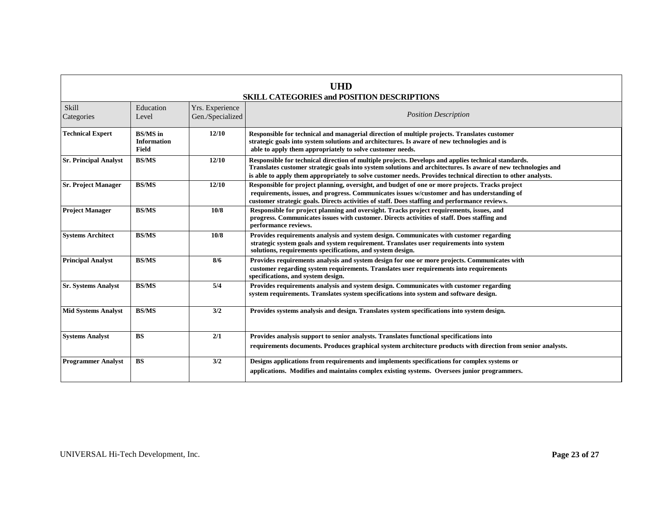| UHD<br><b>SKILL CATEGORIES and POSITION DESCRIPTIONS</b> |                                                |                                     |                                                                                                                                                                                                                                                                                                                                      |  |  |
|----------------------------------------------------------|------------------------------------------------|-------------------------------------|--------------------------------------------------------------------------------------------------------------------------------------------------------------------------------------------------------------------------------------------------------------------------------------------------------------------------------------|--|--|
| Skill<br>Categories                                      | Education<br>Level                             | Yrs. Experience<br>Gen./Specialized | <b>Position Description</b>                                                                                                                                                                                                                                                                                                          |  |  |
| <b>Technical Expert</b>                                  | <b>BS/MS</b> in<br><b>Information</b><br>Field | 12/10                               | Responsible for technical and managerial direction of multiple projects. Translates customer<br>strategic goals into system solutions and architectures. Is aware of new technologies and is<br>able to apply them appropriately to solve customer needs.                                                                            |  |  |
| <b>Sr. Principal Analyst</b>                             | <b>BS/MS</b>                                   | 12/10                               | Responsible for technical direction of multiple projects. Develops and applies technical standards.<br>Translates customer strategic goals into system solutions and architectures. Is aware of new technologies and<br>is able to apply them appropriately to solve customer needs. Provides technical direction to other analysts. |  |  |
| <b>Sr. Project Manager</b>                               | <b>BS/MS</b>                                   | 12/10                               | Responsible for project planning, oversight, and budget of one or more projects. Tracks project<br>requirements, issues, and progress. Communicates issues w/customer and has understanding of<br>customer strategic goals. Directs activities of staff. Does staffing and performance reviews.                                      |  |  |
| <b>Project Manager</b>                                   | <b>BS/MS</b>                                   | 10/8                                | Responsible for project planning and oversight. Tracks project requirements, issues, and<br>progress. Communicates issues with customer. Directs activities of staff. Does staffing and<br>performance reviews.                                                                                                                      |  |  |
| <b>Systems Architect</b>                                 | <b>BS/MS</b>                                   | 10/8                                | Provides requirements analysis and system design. Communicates with customer regarding<br>strategic system goals and system requirement. Translates user requirements into system<br>solutions, requirements specifications, and system design.                                                                                      |  |  |
| <b>Principal Analyst</b>                                 | <b>BS/MS</b>                                   | 8/6                                 | Provides requirements analysis and system design for one or more projects. Communicates with<br>customer regarding system requirements. Translates user requirements into requirements<br>specifications, and system design.                                                                                                         |  |  |
| <b>Sr. Systems Analyst</b>                               | <b>BS/MS</b>                                   | 5/4                                 | Provides requirements analysis and system design. Communicates with customer regarding<br>system requirements. Translates system specifications into system and software design.                                                                                                                                                     |  |  |
| <b>Mid Systems Analyst</b>                               | <b>BS/MS</b>                                   | 3/2                                 | Provides systems analysis and design. Translates system specifications into system design.                                                                                                                                                                                                                                           |  |  |
| <b>Systems Analyst</b>                                   | <b>BS</b>                                      | 2/1                                 | Provides analysis support to senior analysts. Translates functional specifications into<br>requirements documents. Produces graphical system architecture products with direction from senior analysts.                                                                                                                              |  |  |
| <b>Programmer Analyst</b>                                | <b>BS</b>                                      | 3/2                                 | Designs applications from requirements and implements specifications for complex systems or<br>applications. Modifies and maintains complex existing systems. Oversees junior programmers.                                                                                                                                           |  |  |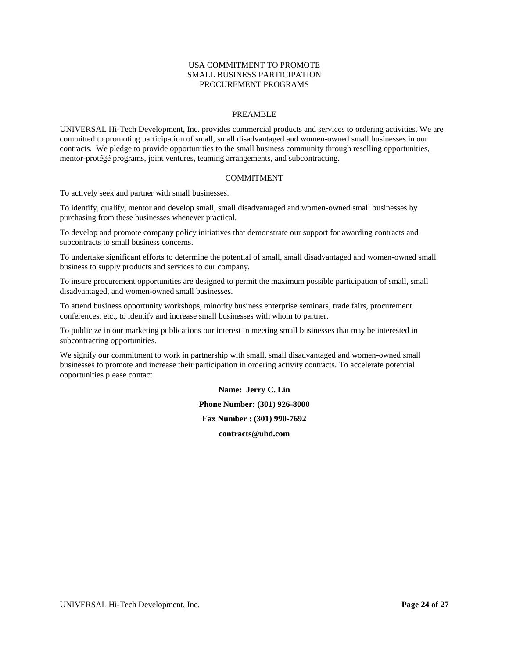#### USA COMMITMENT TO PROMOTE SMALL BUSINESS PARTICIPATION PROCUREMENT PROGRAMS

#### PREAMBLE

<span id="page-23-0"></span>UNIVERSAL Hi-Tech Development, Inc. provides commercial products and services to ordering activities. We are committed to promoting participation of small, small disadvantaged and women-owned small businesses in our contracts. We pledge to provide opportunities to the small business community through reselling opportunities, mentor-protégé programs, joint ventures, teaming arrangements, and subcontracting.

#### COMMITMENT

To actively seek and partner with small businesses.

To identify, qualify, mentor and develop small, small disadvantaged and women-owned small businesses by purchasing from these businesses whenever practical.

To develop and promote company policy initiatives that demonstrate our support for awarding contracts and subcontracts to small business concerns.

To undertake significant efforts to determine the potential of small, small disadvantaged and women-owned small business to supply products and services to our company.

To insure procurement opportunities are designed to permit the maximum possible participation of small, small disadvantaged, and women-owned small businesses.

To attend business opportunity workshops, minority business enterprise seminars, trade fairs, procurement conferences, etc., to identify and increase small businesses with whom to partner.

To publicize in our marketing publications our interest in meeting small businesses that may be interested in subcontracting opportunities.

We signify our commitment to work in partnership with small, small disadvantaged and women-owned small businesses to promote and increase their participation in ordering activity contracts. To accelerate potential opportunities please contact

> **Name: Jerry C. Lin Phone Number: (301) 926-8000 Fax Number : (301) 990-7692 contracts@uhd.com**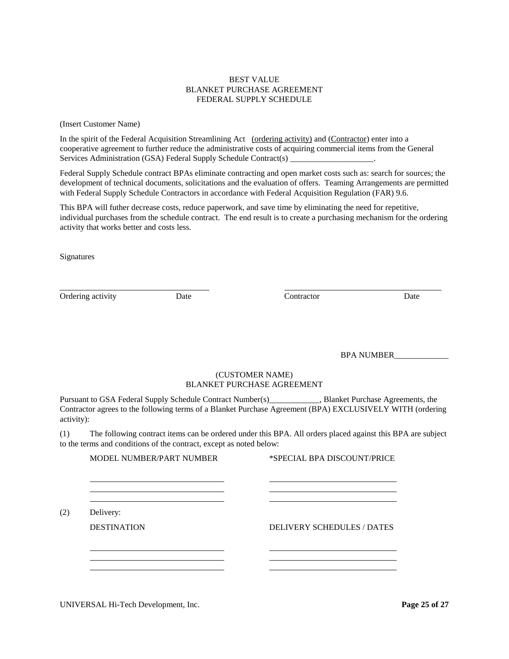# BEST VALUE BLANKET PURCHASE AGREEMENT FEDERAL SUPPLY SCHEDULE

<span id="page-24-0"></span>(Insert Customer Name)

In the spirit of the Federal Acquisition Streamlining Act (ordering activity) and (Contractor) enter into a cooperative agreement to further reduce the administrative costs of acquiring commercial items from the General Services Administration (GSA) Federal Supply Schedule Contract(s) \_\_\_\_\_\_\_\_\_\_\_\_\_\_\_

Federal Supply Schedule contract BPAs eliminate contracting and open market costs such as: search for sources; the development of technical documents, solicitations and the evaluation of offers. Teaming Arrangements are permitted with Federal Supply Schedule Contractors in accordance with Federal Acquisition Regulation (FAR) 9.6.

This BPA will futher decrease costs, reduce paperwork, and save time by eliminating the need for repetitive, individual purchases from the schedule contract. The end result is to create a purchasing mechanism for the ordering activity that works better and costs less.

Signatures

Ordering activity **Date Date Contractor Date Date** 

BPA NUMBER\_\_\_\_\_\_\_\_\_\_\_\_\_

# (CUSTOMER NAME) BLANKET PURCHASE AGREEMENT

Pursuant to GSA Federal Supply Schedule Contract Number(s)\_\_\_\_\_\_\_\_\_\_\_, Blanket Purchase Agreements, the Contractor agrees to the following terms of a Blanket Purchase Agreement (BPA) EXCLUSIVELY WITH (ordering activity):

(1) The following contract items can be ordered under this BPA. All orders placed against this BPA are subject to the terms and conditions of the contract, except as noted below:

MODEL NUMBER/PART NUMBER \*SPECIAL BPA DISCOUNT/PRICE

(2) Delivery:

DESTINATION DELIVERY SCHEDULES / DATES

UNIVERSAL Hi-Tech Development, Inc. **Page 25 of 27**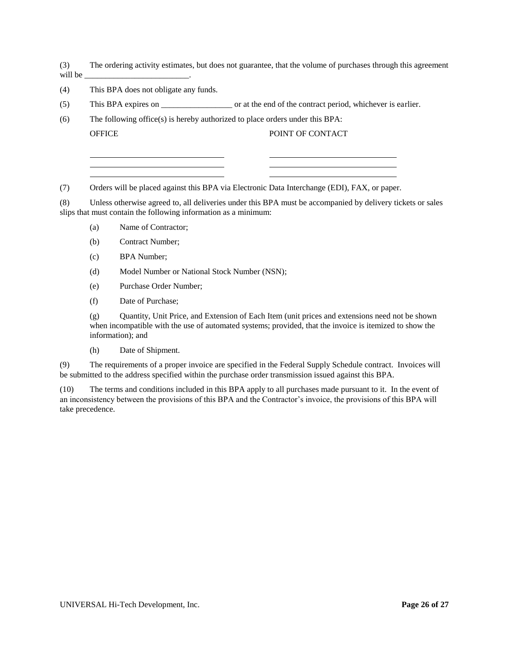(3) The ordering activity estimates, but does not guarantee, that the volume of purchases through this agreement will be

- (4) This BPA does not obligate any funds.
- (5) This BPA expires on \_\_\_\_\_\_\_\_\_\_\_\_\_\_\_\_\_ or at the end of the contract period, whichever is earlier.

(6) The following office(s) is hereby authorized to place orders under this BPA: OFFICE POINT OF CONTACT

(7) Orders will be placed against this BPA via Electronic Data Interchange (EDI), FAX, or paper.

(8) Unless otherwise agreed to, all deliveries under this BPA must be accompanied by delivery tickets or sales slips that must contain the following information as a minimum:

- (a) Name of Contractor;
- (b) Contract Number;
- (c) BPA Number;
- (d) Model Number or National Stock Number (NSN);

the control of the control of the control of

- (e) Purchase Order Number;
- (f) Date of Purchase;

(g) Quantity, Unit Price, and Extension of Each Item (unit prices and extensions need not be shown when incompatible with the use of automated systems; provided, that the invoice is itemized to show the information); and

(h) Date of Shipment.

(9) The requirements of a proper invoice are specified in the Federal Supply Schedule contract. Invoices will be submitted to the address specified within the purchase order transmission issued against this BPA.

(10) The terms and conditions included in this BPA apply to all purchases made pursuant to it. In the event of an inconsistency between the provisions of this BPA and the Contractor's invoice, the provisions of this BPA will take precedence.